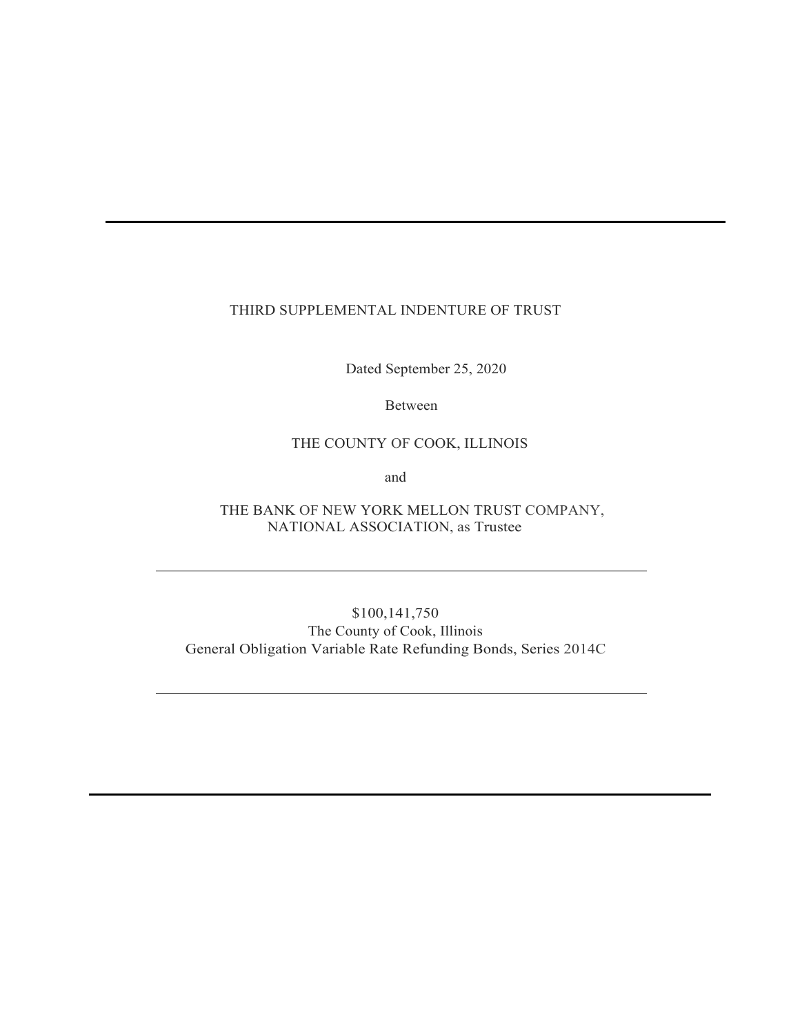# THIRD SUPPLEMENTAL INDENTURE OF TRUST

Dated September 25, 2020

Between

# THE COUNTY OF COOK, ILLINOIS

and

THE BANK OF NEW YORK MELLON TRUST COMPANY, NATIONAL ASSOCIATION, as Trustee

\$100,141,750 The County of Cook, Illinois General Obligation Variable Rate Refunding Bonds, Series 2014C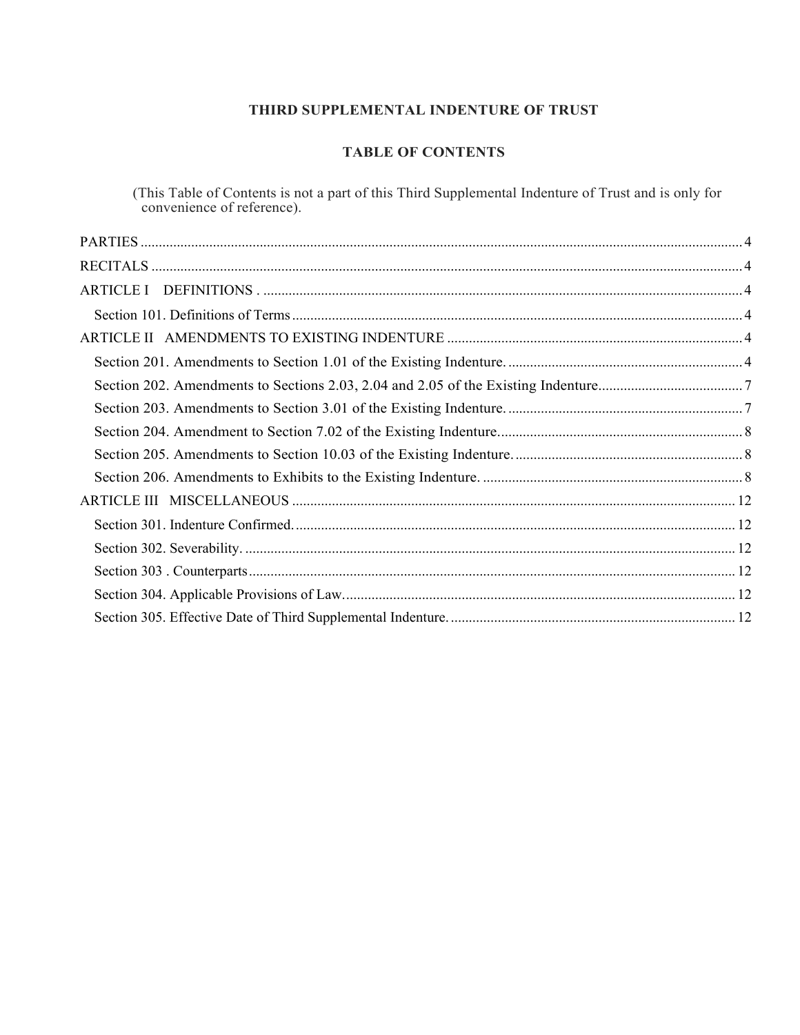# **THIRD SUPPLEMENTAL INDENTURE OF TRUST**

# **TABLE OF CONTENTS**

(This Table of Contents is not a part of this Third Supplemental Indenture of Trust and is only for convenience of reference).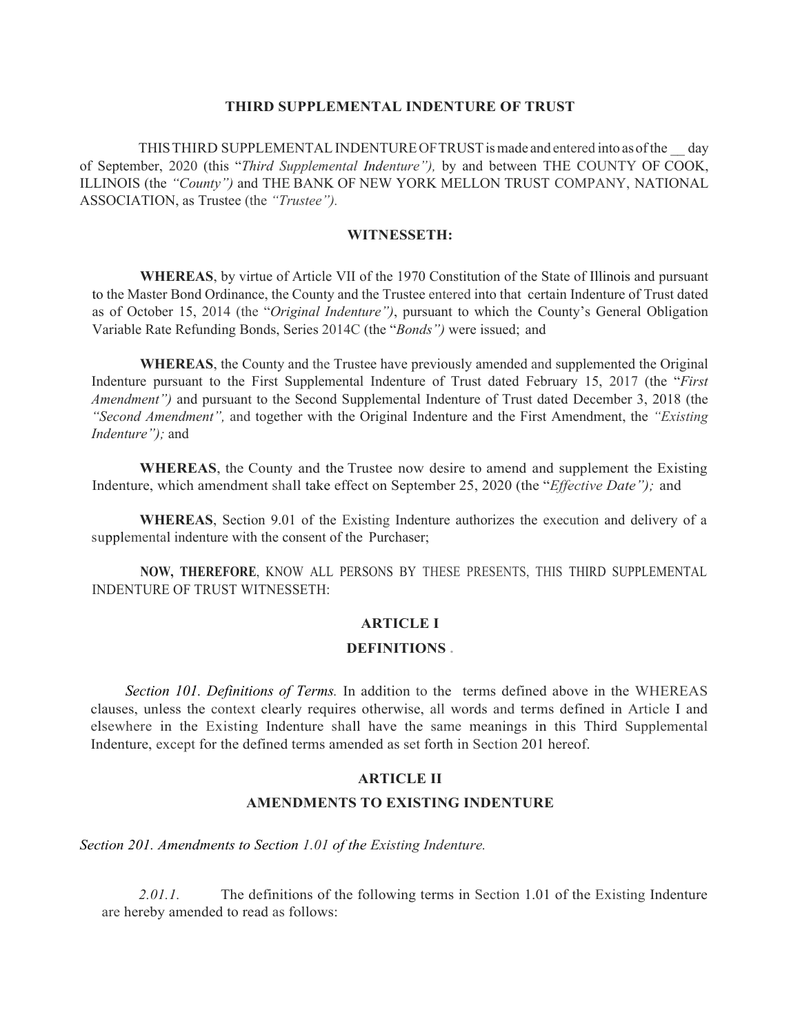### **THIRD SUPPLEMENTAL INDENTURE OF TRUST**

THIS THIRD SUPPLEMENTAL INDENTURE OF TRUST is made and entered into as of the \_\_ day of September, 2020 (this "*Third Supplemental Indenture"),* by and between THE COUNTY OF COOK, ILLINOIS (the *"County")* and THE BANK OF NEW YORK MELLON TRUST COMPANY, NATIONAL ASSOCIATION, as Trustee (the *"Trustee").*

### **WITNESSETH:**

**WHEREAS**, by virtue of Article VII of the 1970 Constitution of the State of Illinois and pursuant to the Master Bond Ordinance, the County and the Trustee entered into that certain Indenture of Trust dated as of October 15, 2014 (the "*Original Indenture")*, pursuant to which the County's General Obligation Variable Rate Refunding Bonds, Series 2014C (the "*Bonds")* were issued; and

**WHEREAS**, the County and the Trustee have previously amended and supplemented the Original Indenture pursuant to the First Supplemental Indenture of Trust dated February 15, 2017 (the "*First Amendment")* and pursuant to the Second Supplemental Indenture of Trust dated December 3, 2018 (the *"Second Amendment",* and together with the Original Indenture and the First Amendment, the *"Existing Indenture");* and

**WHEREAS**, the County and the Trustee now desire to amend and supplement the Existing Indenture, which amendment shall take effect on September 25, 2020 (the "*Effective Date");* and

**WHEREAS**, Section 9.01 of the Existing Indenture authorizes the execution and delivery of a supplemental indenture with the consent of the Purchaser;

**NOW, THEREFORE**, KNOW ALL PERSONS BY THESE PRESENTS, THIS THIRD SUPPLEMENTAL INDENTURE OF TRUST WITNESSETH:

### **ARTICLE I**

#### **DEFINITIONS .**

*Section 101. Definitions of Terms.* In addition to the terms defined above in the WHEREAS clauses, unless the context clearly requires otherwise, all words and terms defined in Article I and elsewhere in the Existing Indenture shall have the same meanings in this Third Supplemental Indenture, except for the defined terms amended as set forth in Section 201 hereof.

### **ARTICLE II**

### **AMENDMENTS TO EXISTING INDENTURE**

*Section 201. Amendments to Section 1.01 of the Existing Indenture.* 

2.01.1. The definitions of the following terms in Section 1.01 of the Existing Indenture are hereby amended to read as follows: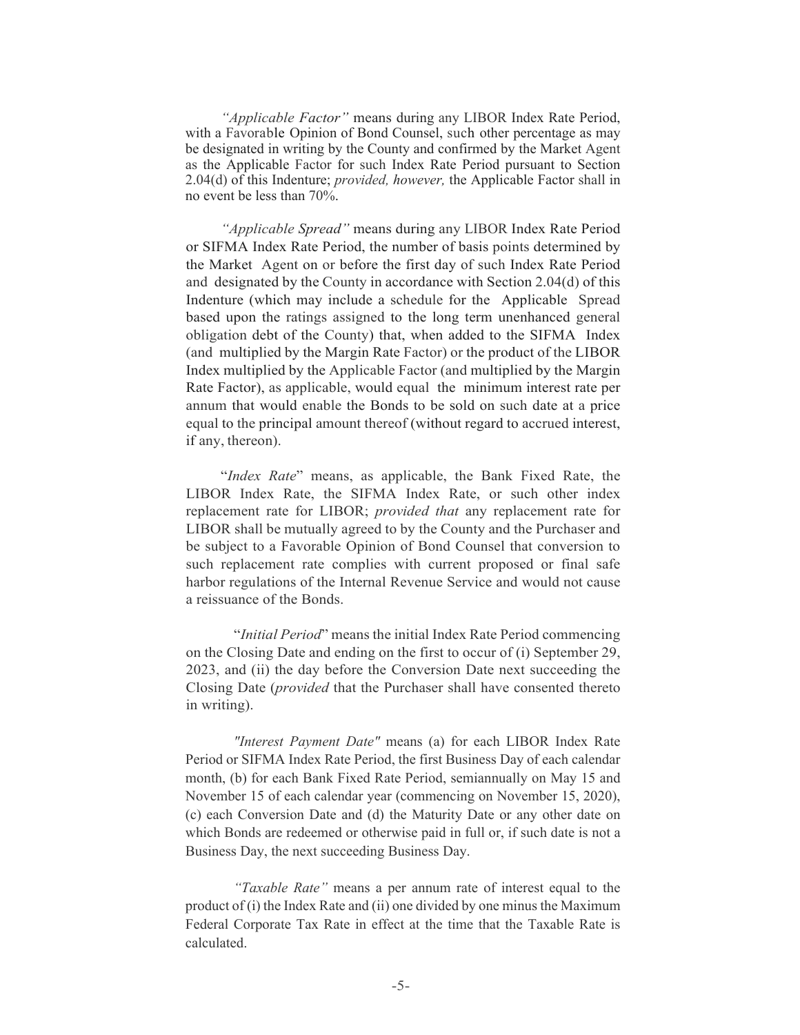*"Applicable Factor"* means during any LIBOR Index Rate Period, with a Favorable Opinion of Bond Counsel, such other percentage as may be designated in writing by the County and confirmed by the Market Agent as the Applicable Factor for such Index Rate Period pursuant to Section 2.04(d) of this Indenture; *provided, however,* the Applicable Factor shall in no event be less than 70%.

*"Applicable Spread"* means during any LIBOR Index Rate Period or SIFMA Index Rate Period, the number of basis points determined by the Market Agent on or before the first day of such Index Rate Period and designated by the County in accordance with Section 2.04(d) of this Indenture (which may include a schedule for the Applicable Spread based upon the ratings assigned to the long term unenhanced general obligation debt of the County) that, when added to the SIFMA Index (and multiplied by the Margin Rate Factor) or the product of the LIBOR Index multiplied by the Applicable Factor (and multiplied by the Margin Rate Factor), as applicable, would equal the minimum interest rate per annum that would enable the Bonds to be sold on such date at a price equal to the principal amount thereof (without regard to accrued interest, if any, thereon).

"*Index Rate*" means, as applicable, the Bank Fixed Rate, the LIBOR Index Rate, the SIFMA Index Rate, or such other index replacement rate for LIBOR; *provided that* any replacement rate for LIBOR shall be mutually agreed to by the County and the Purchaser and be subject to a Favorable Opinion of Bond Counsel that conversion to such replacement rate complies with current proposed or final safe harbor regulations of the Internal Revenue Service and would not cause a reissuance of the Bonds.

"*Initial Period*" means the initial Index Rate Period commencing on the Closing Date and ending on the first to occur of (i) September 29, 2023, and (ii) the day before the Conversion Date next succeeding the Closing Date (*provided* that the Purchaser shall have consented thereto in writing).

*"Interest Payment Date"* means (a) for each LIBOR Index Rate Period or SIFMA Index Rate Period, the first Business Day of each calendar month, (b) for each Bank Fixed Rate Period, semiannually on May 15 and November 15 of each calendar year (commencing on November 15, 2020), (c) each Conversion Date and (d) the Maturity Date or any other date on which Bonds are redeemed or otherwise paid in full or, if such date is not a Business Day, the next succeeding Business Day.

*"Taxable Rate"* means a per annum rate of interest equal to the product of (i) the Index Rate and (ii) one divided by one minus the Maximum Federal Corporate Tax Rate in effect at the time that the Taxable Rate is calculated.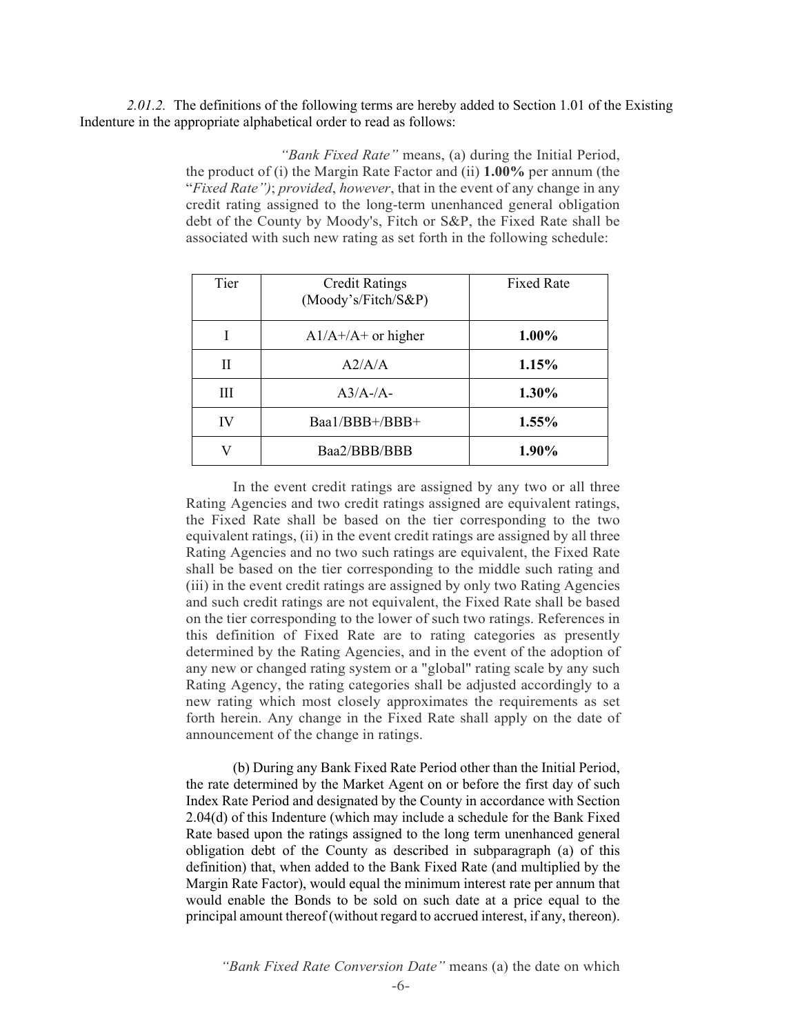*2.01.2.* The definitions of the following terms are hereby added to Section 1.01 of the Existing Indenture in the appropriate alphabetical order to read as follows:

> *"Bank Fixed Rate"* means, (a) during the Initial Period, the product of (i) the Margin Rate Factor and (ii) **1.00%** per annum (the "*Fixed Rate")*; *provided*, *however*, that in the event of any change in any credit rating assigned to the long-term unenhanced general obligation debt of the County by Moody's, Fitch or S&P, the Fixed Rate shall be associated with such new rating as set forth in the following schedule:

| Tier | <b>Credit Ratings</b><br>(Moody's/Fitch/S&P) | <b>Fixed Rate</b> |
|------|----------------------------------------------|-------------------|
|      | $A1/A + /A +$ or higher                      | 1.00%             |
| Н    | A2/A/A                                       | 1.15%             |
| Ш    | $A3/A$ -/A-                                  | 1.30%             |
| IV   | Baa1/BBB+/BBB+                               | 1.55%             |
| V    | Baa2/BBB/BBB                                 | 1.90%             |

In the event credit ratings are assigned by any two or all three Rating Agencies and two credit ratings assigned are equivalent ratings, the Fixed Rate shall be based on the tier corresponding to the two equivalent ratings, (ii) in the event credit ratings are assigned by all three Rating Agencies and no two such ratings are equivalent, the Fixed Rate shall be based on the tier corresponding to the middle such rating and (iii) in the event credit ratings are assigned by only two Rating Agencies and such credit ratings are not equivalent, the Fixed Rate shall be based on the tier corresponding to the lower of such two ratings. References in this definition of Fixed Rate are to rating categories as presently determined by the Rating Agencies, and in the event of the adoption of any new or changed rating system or a "global" rating scale by any such Rating Agency, the rating categories shall be adjusted accordingly to a new rating which most closely approximates the requirements as set forth herein. Any change in the Fixed Rate shall apply on the date of announcement of the change in ratings.

(b) During any Bank Fixed Rate Period other than the Initial Period, the rate determined by the Market Agent on or before the first day of such Index Rate Period and designated by the County in accordance with Section 2.04(d) of this Indenture (which may include a schedule for the Bank Fixed Rate based upon the ratings assigned to the long term unenhanced general obligation debt of the County as described in subparagraph (a) of this definition) that, when added to the Bank Fixed Rate (and multiplied by the Margin Rate Factor), would equal the minimum interest rate per annum that would enable the Bonds to be sold on such date at a price equal to the principal amount thereof (without regard to accrued interest, if any, thereon).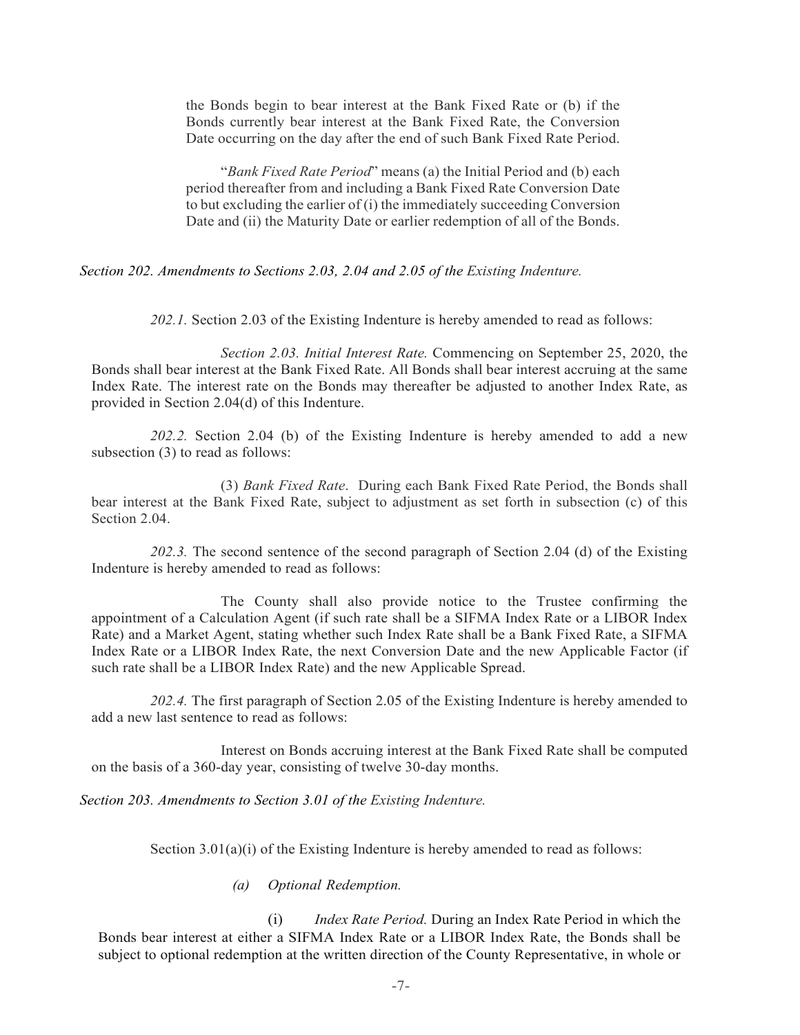the Bonds begin to bear interest at the Bank Fixed Rate or (b) if the Bonds currently bear interest at the Bank Fixed Rate, the Conversion Date occurring on the day after the end of such Bank Fixed Rate Period.

"*Bank Fixed Rate Period*" means (a) the Initial Period and (b) each period thereafter from and including a Bank Fixed Rate Conversion Date to but excluding the earlier of (i) the immediately succeeding Conversion Date and (ii) the Maturity Date or earlier redemption of all of the Bonds.

*Section 202. Amendments to Sections 2.03, 2.04 and 2.05 of the Existing Indenture.* 

*202.1.* Section 2.03 of the Existing Indenture is hereby amended to read as follows:

*Section 2.03. Initial Interest Rate.* Commencing on September 25, 2020, the Bonds shall bear interest at the Bank Fixed Rate. All Bonds shall bear interest accruing at the same Index Rate. The interest rate on the Bonds may thereafter be adjusted to another Index Rate, as provided in Section 2.04(d) of this Indenture.

*202.2.* Section 2.04 (b) of the Existing Indenture is hereby amended to add a new subsection (3) to read as follows:

(3) *Bank Fixed Rate*. During each Bank Fixed Rate Period, the Bonds shall bear interest at the Bank Fixed Rate, subject to adjustment as set forth in subsection (c) of this Section 2.04.

*202.3.* The second sentence of the second paragraph of Section 2.04 (d) of the Existing Indenture is hereby amended to read as follows:

The County shall also provide notice to the Trustee confirming the appointment of a Calculation Agent (if such rate shall be a SIFMA Index Rate or a LIBOR Index Rate) and a Market Agent, stating whether such Index Rate shall be a Bank Fixed Rate, a SIFMA Index Rate or a LIBOR Index Rate, the next Conversion Date and the new Applicable Factor (if such rate shall be a LIBOR Index Rate) and the new Applicable Spread.

*202.4.* The first paragraph of Section 2.05 of the Existing Indenture is hereby amended to add a new last sentence to read as follows:

Interest on Bonds accruing interest at the Bank Fixed Rate shall be computed on the basis of a 360-day year, consisting of twelve 30-day months.

*Section 203. Amendments to Section 3.01 of the Existing Indenture.* 

Section  $3.01(a)(i)$  of the Existing Indenture is hereby amended to read as follows:

*(a) Optional Redemption.* 

(i) *Index Rate Period.* During an Index Rate Period in which the Bonds bear interest at either a SIFMA Index Rate or a LIBOR Index Rate, the Bonds shall be subject to optional redemption at the written direction of the County Representative, in whole or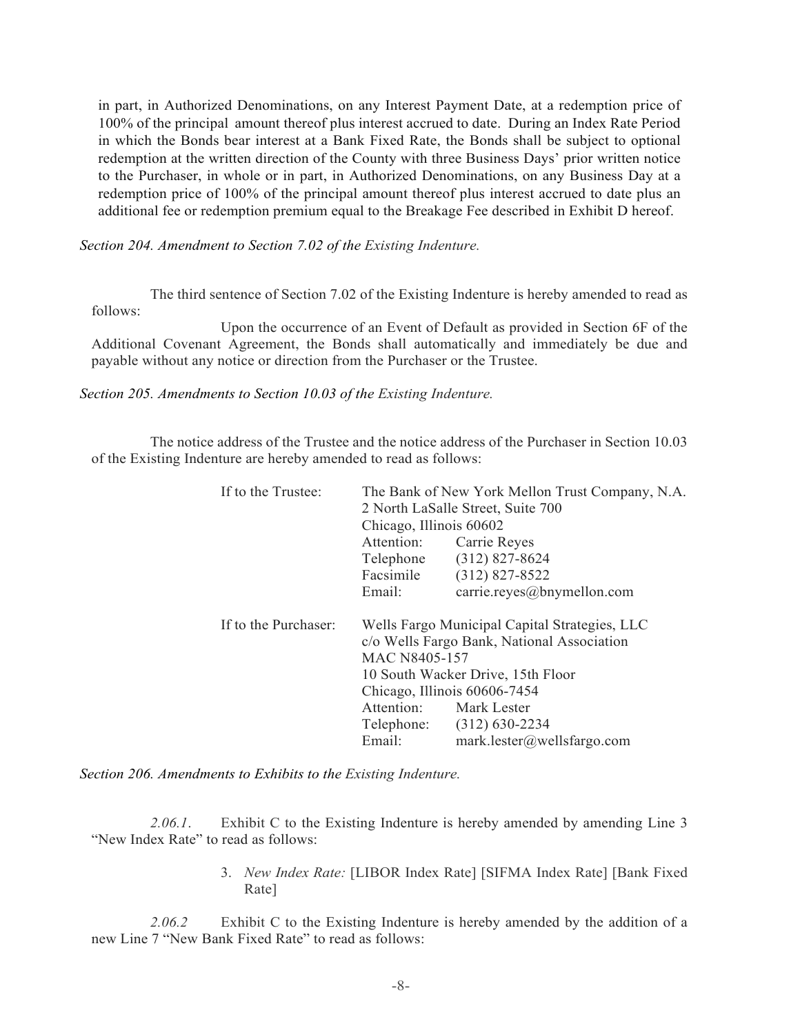in part, in Authorized Denominations, on any Interest Payment Date, at a redemption price of 100% of the principal amount thereof plus interest accrued to date. During an Index Rate Period in which the Bonds bear interest at a Bank Fixed Rate, the Bonds shall be subject to optional redemption at the written direction of the County with three Business Days' prior written notice to the Purchaser, in whole or in part, in Authorized Denominations, on any Business Day at a redemption price of 100% of the principal amount thereof plus interest accrued to date plus an additional fee or redemption premium equal to the Breakage Fee described in Exhibit D hereof.

*Section 204. Amendment to Section 7.02 of the Existing Indenture.* 

The third sentence of Section 7.02 of the Existing Indenture is hereby amended to read as follows:

Upon the occurrence of an Event of Default as provided in Section 6F of the Additional Covenant Agreement, the Bonds shall automatically and immediately be due and payable without any notice or direction from the Purchaser or the Trustee.

*Section 205. Amendments to Section 10.03 of the Existing Indenture.* 

The notice address of the Trustee and the notice address of the Purchaser in Section 10.03 of the Existing Indenture are hereby amended to read as follows:

| If to the Trustee:   | The Bank of New York Mellon Trust Company, N.A. |                            |  |
|----------------------|-------------------------------------------------|----------------------------|--|
|                      | 2 North LaSalle Street, Suite 700               |                            |  |
|                      | Chicago, Illinois 60602                         |                            |  |
|                      | Attention:                                      | Carrie Reyes               |  |
|                      |                                                 | Telephone (312) 827-8624   |  |
|                      | Facsimile                                       | $(312) 827 - 8522$         |  |
|                      | Email:                                          | carrie.reyes@bnymellon.com |  |
| If to the Purchaser: | Wells Fargo Municipal Capital Strategies, LLC   |                            |  |
|                      | c/o Wells Fargo Bank, National Association      |                            |  |
|                      | MAC N8405-157                                   |                            |  |
|                      | 10 South Wacker Drive, 15th Floor               |                            |  |
|                      | Chicago, Illinois 60606-7454                    |                            |  |
|                      | Attention: Mark Lester                          |                            |  |
|                      |                                                 | Telephone: (312) 630-2234  |  |
|                      | Email:                                          | mark.lester@wellsfargo.com |  |

*Section 206. Amendments to Exhibits to the Existing Indenture.* 

*2.06.1*. Exhibit C to the Existing Indenture is hereby amended by amending Line 3 "New Index Rate" to read as follows:

> 3. *New Index Rate:* [LIBOR Index Rate] [SIFMA Index Rate] [Bank Fixed Rate]

*2.06.2* Exhibit C to the Existing Indenture is hereby amended by the addition of a new Line 7 "New Bank Fixed Rate" to read as follows: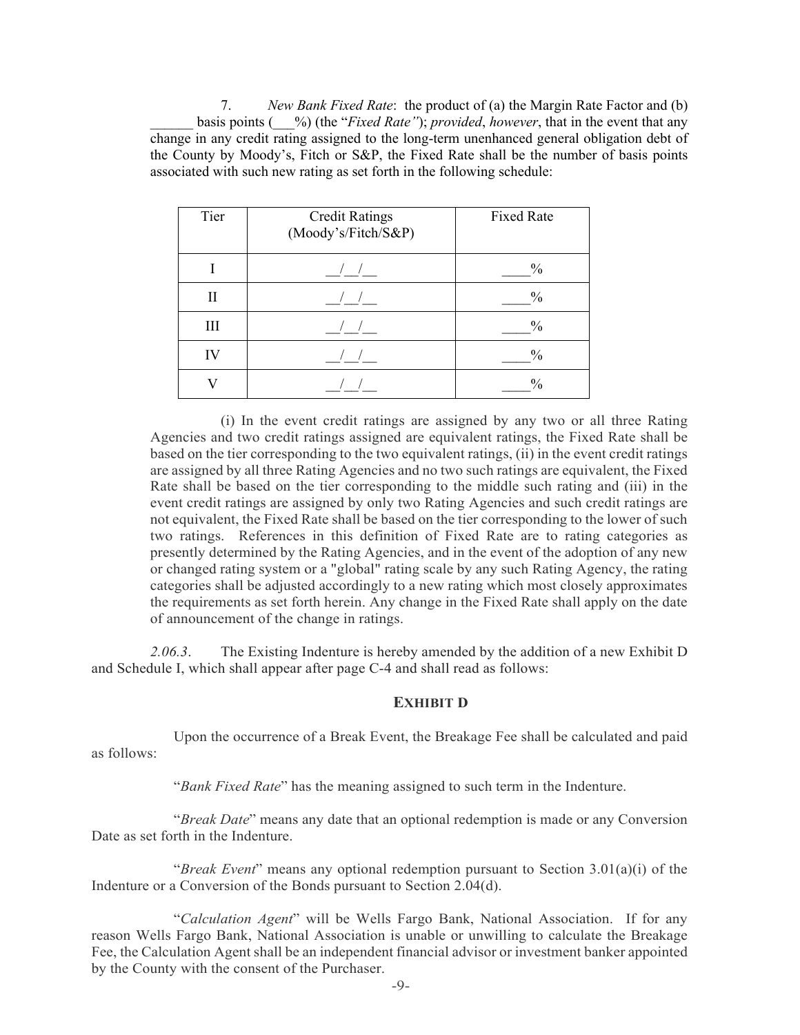7. *New Bank Fixed Rate*: the product of (a) the Margin Rate Factor and (b) \_\_\_\_\_\_ basis points (\_\_\_%) (the "*Fixed Rate"*); *provided*, *however*, that in the event that any change in any credit rating assigned to the long-term unenhanced general obligation debt of the County by Moody's, Fitch or S&P, the Fixed Rate shall be the number of basis points associated with such new rating as set forth in the following schedule:

| Tier | <b>Credit Ratings</b><br>(Moody's/Fitch/S&P) | <b>Fixed Rate</b> |
|------|----------------------------------------------|-------------------|
|      |                                              | $\frac{0}{0}$     |
| Н    |                                              | $\frac{0}{0}$     |
| III  |                                              | $\frac{0}{0}$     |
| IV   |                                              | $\frac{0}{0}$     |
|      |                                              | $\frac{0}{0}$     |

(i) In the event credit ratings are assigned by any two or all three Rating Agencies and two credit ratings assigned are equivalent ratings, the Fixed Rate shall be based on the tier corresponding to the two equivalent ratings, (ii) in the event credit ratings are assigned by all three Rating Agencies and no two such ratings are equivalent, the Fixed Rate shall be based on the tier corresponding to the middle such rating and (iii) in the event credit ratings are assigned by only two Rating Agencies and such credit ratings are not equivalent, the Fixed Rate shall be based on the tier corresponding to the lower of such two ratings. References in this definition of Fixed Rate are to rating categories as presently determined by the Rating Agencies, and in the event of the adoption of any new or changed rating system or a "global" rating scale by any such Rating Agency, the rating categories shall be adjusted accordingly to a new rating which most closely approximates the requirements as set forth herein. Any change in the Fixed Rate shall apply on the date of announcement of the change in ratings.

*2.06.3*. The Existing Indenture is hereby amended by the addition of a new Exhibit D and Schedule I, which shall appear after page C-4 and shall read as follows:

## **EXHIBIT D**

Upon the occurrence of a Break Event, the Breakage Fee shall be calculated and paid as follows:

"*Bank Fixed Rate*" has the meaning assigned to such term in the Indenture.

"*Break Date*" means any date that an optional redemption is made or any Conversion Date as set forth in the Indenture.

"*Break Event*" means any optional redemption pursuant to Section 3.01(a)(i) of the Indenture or a Conversion of the Bonds pursuant to Section 2.04(d).

"*Calculation Agent*" will be Wells Fargo Bank, National Association. If for any reason Wells Fargo Bank, National Association is unable or unwilling to calculate the Breakage Fee, the Calculation Agent shall be an independent financial advisor or investment banker appointed by the County with the consent of the Purchaser.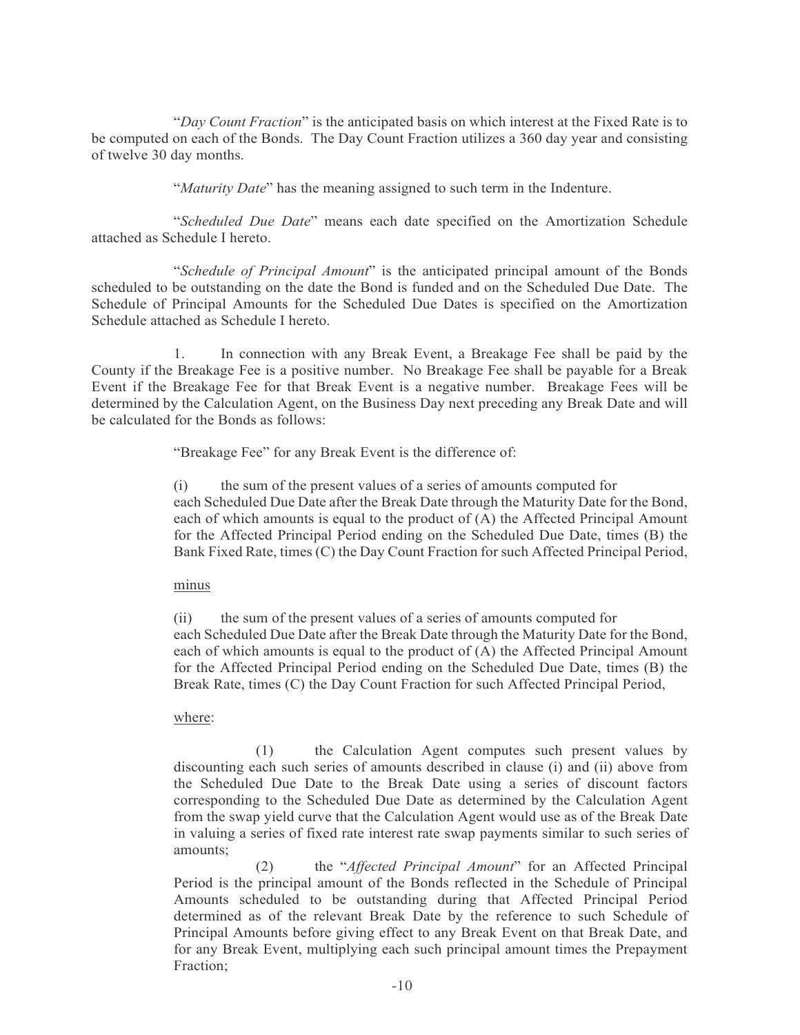"*Day Count Fraction*" is the anticipated basis on which interest at the Fixed Rate is to be computed on each of the Bonds. The Day Count Fraction utilizes a 360 day year and consisting of twelve 30 day months.

"*Maturity Date*" has the meaning assigned to such term in the Indenture.

"*Scheduled Due Date*" means each date specified on the Amortization Schedule attached as Schedule I hereto.

"*Schedule of Principal Amount*" is the anticipated principal amount of the Bonds scheduled to be outstanding on the date the Bond is funded and on the Scheduled Due Date. The Schedule of Principal Amounts for the Scheduled Due Dates is specified on the Amortization Schedule attached as Schedule I hereto.

1. In connection with any Break Event, a Breakage Fee shall be paid by the County if the Breakage Fee is a positive number. No Breakage Fee shall be payable for a Break Event if the Breakage Fee for that Break Event is a negative number. Breakage Fees will be determined by the Calculation Agent, on the Business Day next preceding any Break Date and will be calculated for the Bonds as follows:

"Breakage Fee" for any Break Event is the difference of:

(i) the sum of the present values of a series of amounts computed for each Scheduled Due Date after the Break Date through the Maturity Date for the Bond, each of which amounts is equal to the product of (A) the Affected Principal Amount for the Affected Principal Period ending on the Scheduled Due Date, times (B) the Bank Fixed Rate, times (C) the Day Count Fraction for such Affected Principal Period,

minus

(ii) the sum of the present values of a series of amounts computed for each Scheduled Due Date after the Break Date through the Maturity Date for the Bond, each of which amounts is equal to the product of (A) the Affected Principal Amount for the Affected Principal Period ending on the Scheduled Due Date, times (B) the Break Rate, times (C) the Day Count Fraction for such Affected Principal Period,

## where:

(1) the Calculation Agent computes such present values by discounting each such series of amounts described in clause (i) and (ii) above from the Scheduled Due Date to the Break Date using a series of discount factors corresponding to the Scheduled Due Date as determined by the Calculation Agent from the swap yield curve that the Calculation Agent would use as of the Break Date in valuing a series of fixed rate interest rate swap payments similar to such series of amounts;

(2) the "*Affected Principal Amount*" for an Affected Principal Period is the principal amount of the Bonds reflected in the Schedule of Principal Amounts scheduled to be outstanding during that Affected Principal Period determined as of the relevant Break Date by the reference to such Schedule of Principal Amounts before giving effect to any Break Event on that Break Date, and for any Break Event, multiplying each such principal amount times the Prepayment Fraction;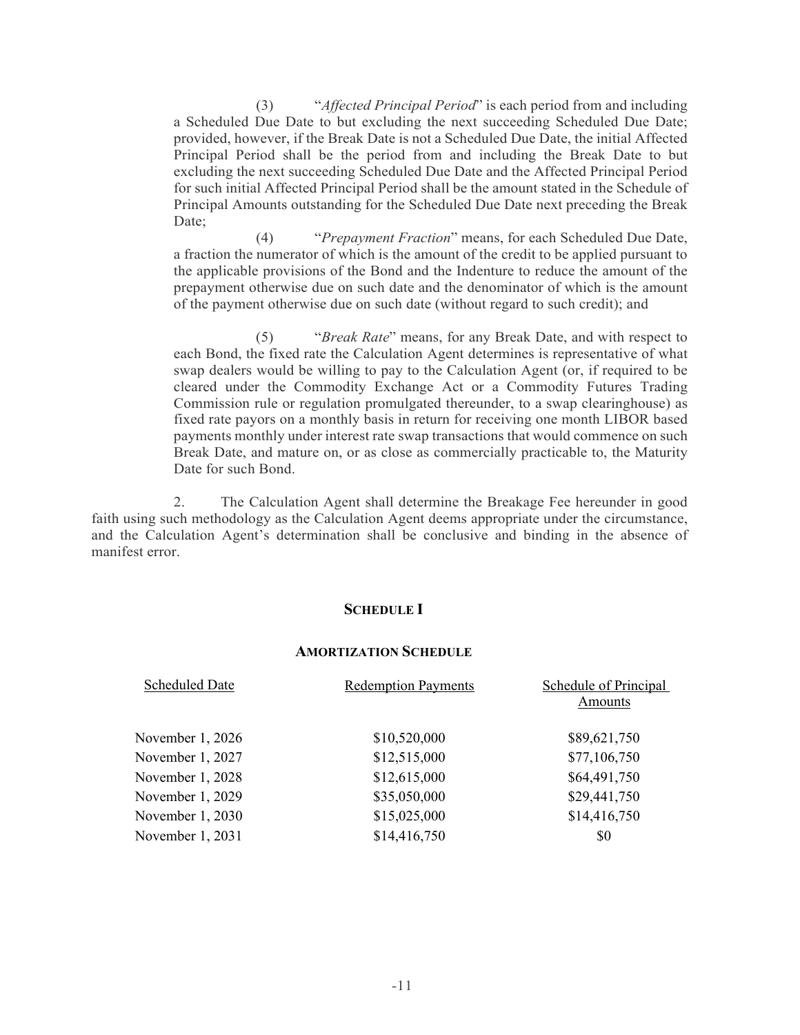(3) "*Affected Principal Period*" is each period from and including a Scheduled Due Date to but excluding the next succeeding Scheduled Due Date; provided, however, if the Break Date is not a Scheduled Due Date, the initial Affected Principal Period shall be the period from and including the Break Date to but excluding the next succeeding Scheduled Due Date and the Affected Principal Period for such initial Affected Principal Period shall be the amount stated in the Schedule of Principal Amounts outstanding for the Scheduled Due Date next preceding the Break Date;

(4) "*Prepayment Fraction*" means, for each Scheduled Due Date, a fraction the numerator of which is the amount of the credit to be applied pursuant to the applicable provisions of the Bond and the Indenture to reduce the amount of the prepayment otherwise due on such date and the denominator of which is the amount of the payment otherwise due on such date (without regard to such credit); and

(5) "*Break Rate*" means, for any Break Date, and with respect to each Bond, the fixed rate the Calculation Agent determines is representative of what swap dealers would be willing to pay to the Calculation Agent (or, if required to be cleared under the Commodity Exchange Act or a Commodity Futures Trading Commission rule or regulation promulgated thereunder, to a swap clearinghouse) as fixed rate payors on a monthly basis in return for receiving one month LIBOR based payments monthly under interest rate swap transactions that would commence on such Break Date, and mature on, or as close as commercially practicable to, the Maturity Date for such Bond.

2. The Calculation Agent shall determine the Breakage Fee hereunder in good faith using such methodology as the Calculation Agent deems appropriate under the circumstance, and the Calculation Agent's determination shall be conclusive and binding in the absence of manifest error.

## **SCHEDULE I**

#### **AMORTIZATION SCHEDULE**

| <b>Scheduled Date</b> | <b>Redemption Payments</b> | Schedule of Principal |
|-----------------------|----------------------------|-----------------------|
|                       |                            | Amounts               |
| November 1, 2026      | \$10,520,000               | \$89,621,750          |
| November 1, 2027      | \$12,515,000               | \$77,106,750          |
| November 1, 2028      | \$12,615,000               | \$64,491,750          |
| November 1, 2029      | \$35,050,000               | \$29,441,750          |
| November 1, 2030      | \$15,025,000               | \$14,416,750          |
| November 1, 2031      | \$14,416,750               | \$0                   |
|                       |                            |                       |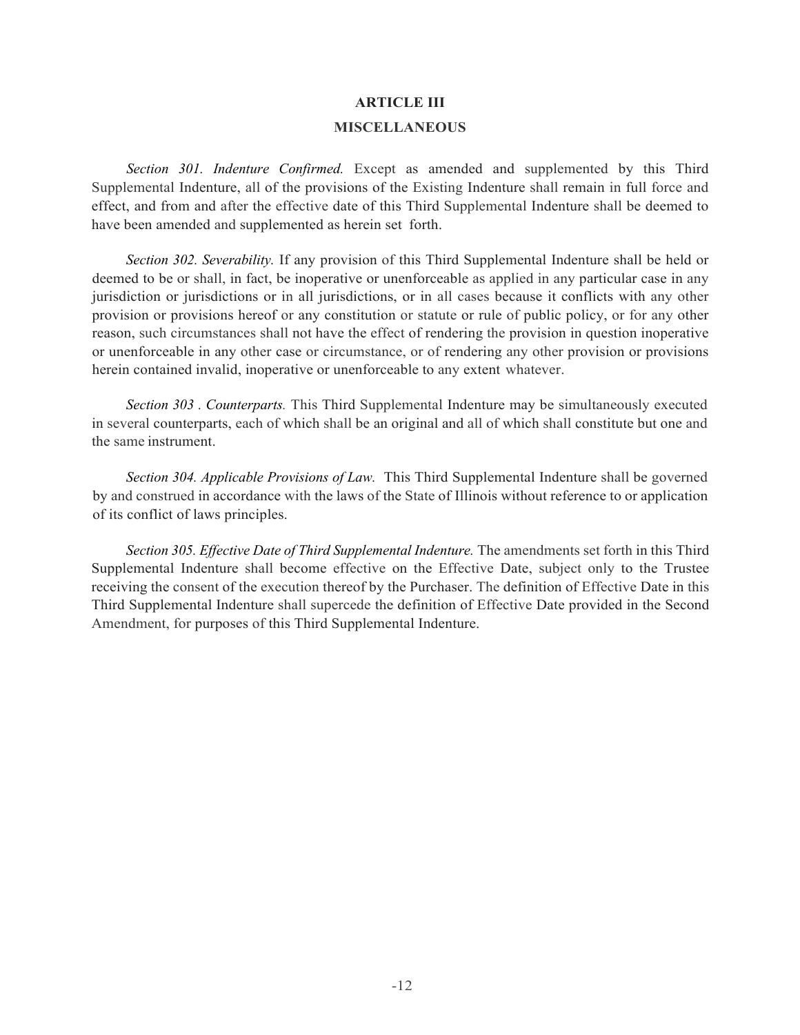## **ARTICLE III**

### **MISCELLANEOUS**

*Section 301. Indenture Confirmed.* Except as amended and supplemented by this Third Supplemental Indenture, all of the provisions of the Existing Indenture shall remain in full force and effect, and from and after the effective date of this Third Supplemental Indenture shall be deemed to have been amended and supplemented as herein set forth.

*Section 302. Severability.* If any provision of this Third Supplemental Indenture shall be held or deemed to be or shall, in fact, be inoperative or unenforceable as applied in any particular case in any jurisdiction or jurisdictions or in all jurisdictions, or in all cases because it conflicts with any other provision or provisions hereof or any constitution or statute or rule of public policy, or for any other reason, such circumstances shall not have the effect of rendering the provision in question inoperative or unenforceable in any other case or circumstance, or of rendering any other provision or provisions herein contained invalid, inoperative or unenforceable to any extent whatever.

*Section 303 . Counterparts.* This Third Supplemental Indenture may be simultaneously executed in several counterparts, each of which shall be an original and all of which shall constitute but one and the same instrument.

*Section 304. Applicable Provisions of Law.* This Third Supplemental Indenture shall be governed by and construed in accordance with the laws of the State of Illinois without reference to or application of its conflict of laws principles.

*Section 305. Effective Date of Third Supplemental Indenture.* The amendments set forth in this Third Supplemental Indenture shall become effective on the Effective Date, subject only to the Trustee receiving the consent of the execution thereof by the Purchaser. The definition of Effective Date in this Third Supplemental Indenture shall supercede the definition of Effective Date provided in the Second Amendment, for purposes of this Third Supplemental Indenture.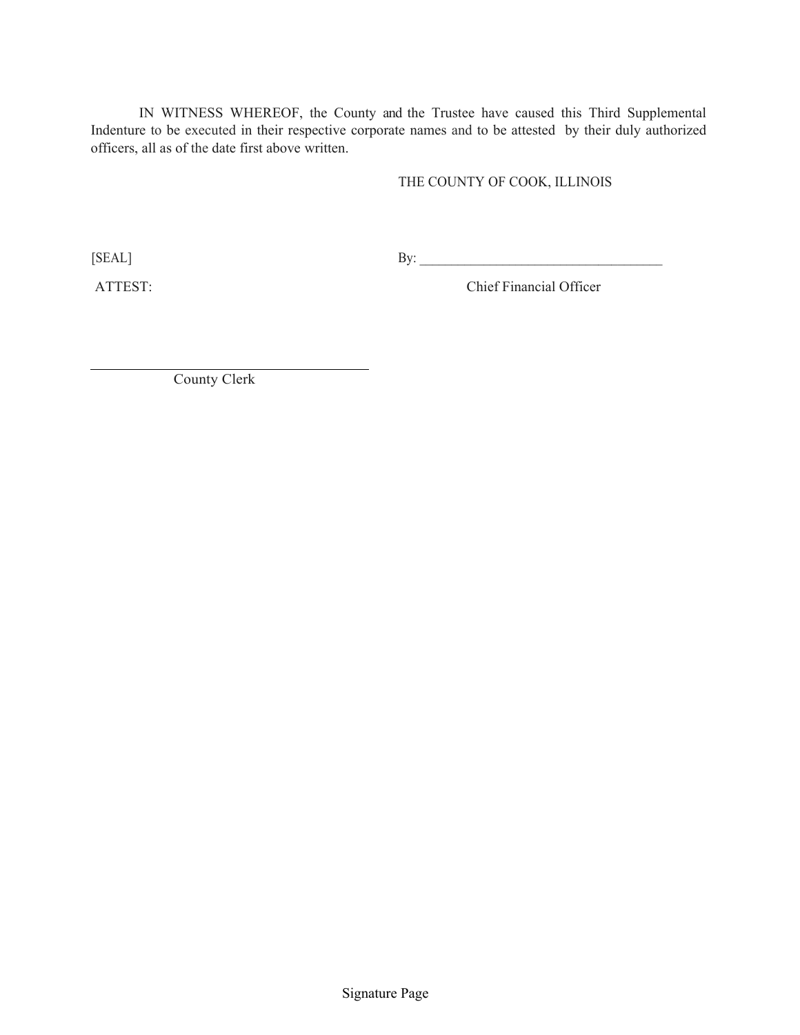IN WITNESS WHEREOF, the County and the Trustee have caused this Third Supplemental Indenture to be executed in their respective corporate names and to be attested by their duly authorized officers, all as of the date first above written.

# THE COUNTY OF COOK, ILLINOIS

 $[SEAL]$  By:

ATTEST: Chief Financial Officer

County Clerk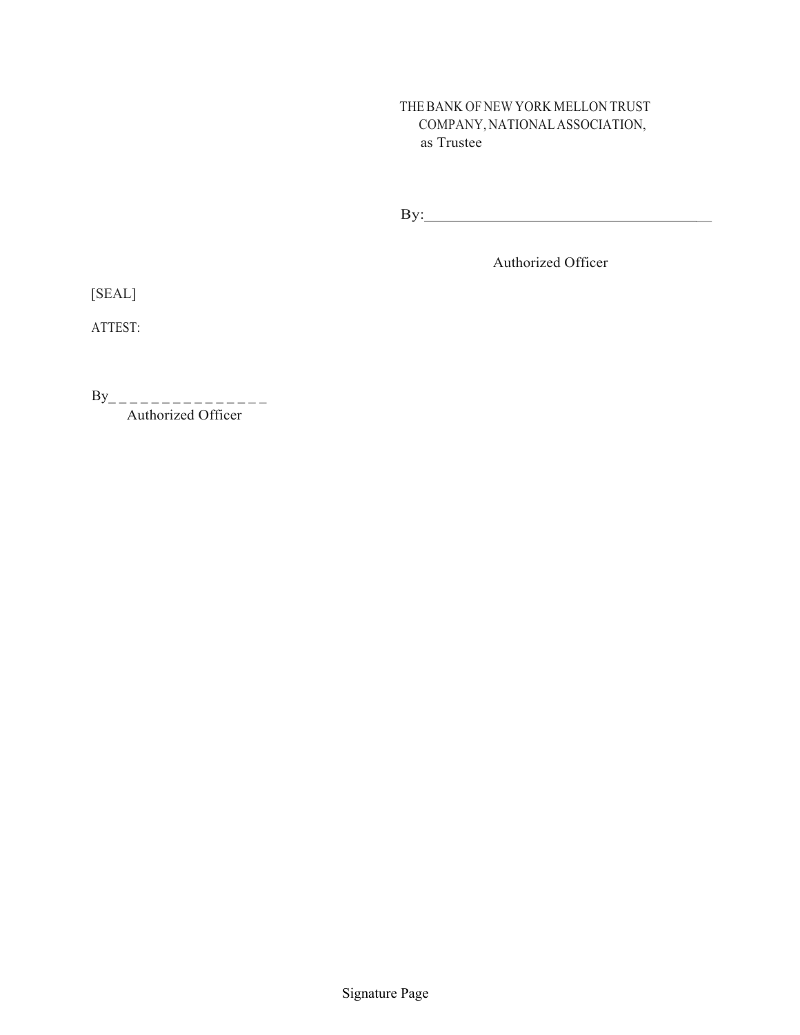# THE BANK OF NEW YORK MELLON TRUST COMPANY, NATIONAL ASSOCIATION, as Trustee

By: \_

Authorized Officer

[SEAL]

ATTEST:

 $\mathbf{B} \mathbf{y}$ Authorized Officer